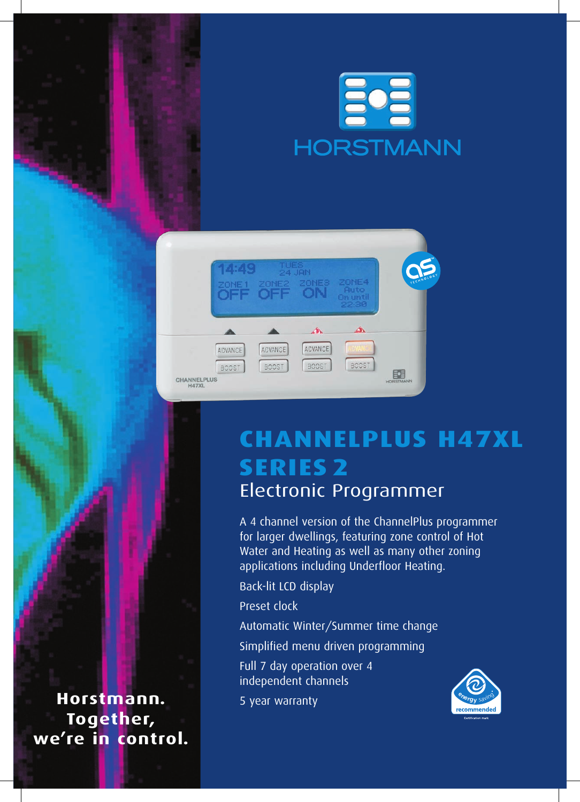



## **ChannelPlus H47XL Series 2** Electronic Programmer

A 4 channel version of the ChannelPlus programmer for larger dwellings, featuring zone control of Hot Water and Heating as well as many other zoning applications including Underfloor Heating.

Back-lit LCD display

Preset clock

Automatic Winter/Summer time change

Simplified menu driven programming

Full 7 day operation over 4 independent channels

5 year warranty



**Horstmann. Together, we're in control.**